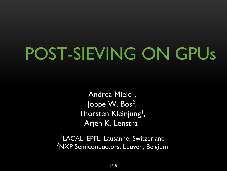# POST-SIEVING ON GPUs

Andrea Miele<sup>l</sup>, Joppe W. Bos<sup>2</sup>, Thorsten Kleinjung<sup>1</sup>, Arjen K. Lenstra<sup>1</sup>

1LACAL, EPFL, Lausanne, Switzerland <sup>2</sup>NXP Semiconductors, Leuven, Belgium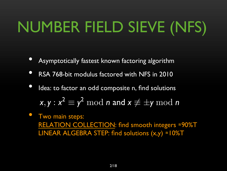# NUMBER FIELD SIEVE (NFS)

- Asymptotically fastest known factoring algorithm
- RSA 768-bit modulus factored with NFS in 2010
- Idea: to factor an odd composite n, find solutions  $\mathbf{x}, \mathbf{y} : \mathbf{x^2} \equiv \mathbf{y^2} \bmod n$  and  $\mathbf{x} \not\equiv \pm \mathbf{y} \bmod n$
- Two main steps: RELATION COLLECTION: find smooth integers ≈90%T LINEAR ALGEBRA STEP: find solutions (x,y) ≈10%T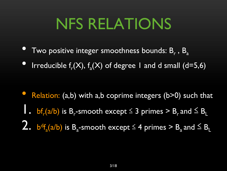### NFS RELATIONS

- Two positive integer smoothness bounds:  $B_r$ ,  $B_a$
- Irreducible  $f_r(X)$ ,  $f_a(X)$  of degree 1 and d small (d=5,6)

• Relation: (a,b) with a,b coprime integers (b>0) such that 1. bf $f_r(a/b)$  is B<sub>r</sub>-smooth except  $\leq 3$  primes > B<sub>r</sub> and  $\leq B_l$ 2.  $b^df_a(a/b)$  is B<sub>a</sub>-smooth except  $\leq 4$  primes  $> B_a$  and  $\leq B_L$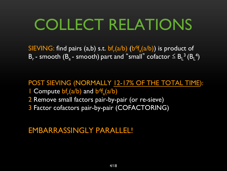### COLLECT RELATIONS

SIEVING: find pairs  $(a,b)$  s.t.  $bf_{r}(a/b)$   $(b<sup>d</sup>f_{a}(a/b))$  is product of  $B_r$  - smooth ( $B_a$  - smooth) part and "small" cofactor  $\leq B_L^3$  ( $B_L^4$ )

POST SIEVING (NORMALLY 12-17% OF THE TOTAL TIME): **Compute**  $bf_p(a/b)$  **and**  $bf_p^df_a(a/b)$ 

- 2 Remove small factors pair-by-pair (or re-sieve)
- 3 Factor cofactors pair-by-pair (COFACTORING)

#### EMBARRASSINGLY PARALLEL!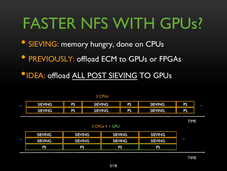### FASTER NFS WITH GPUs?

- SIEVING: memory hungry, done on CPUs
- **PREVIOUSLY: offload ECM to GPUs or FPGAs**
- •IDEA: offload ALL POST SIEVING TO GPUs

| $\bullet\bullet\bullet$ | <b>SIEVING</b> | PS        | <b>SIEVING</b> | $-1$<br>. . | <b>SIEVING</b> | <b>PS</b> | $\bullet\bullet\bullet$ |
|-------------------------|----------------|-----------|----------------|-------------|----------------|-----------|-------------------------|
|                         | <b>SIEVING</b> | <b>PS</b> | <b>SIEVING</b> | <b>EXA</b>  | <b>SIEVING</b> | <b>PS</b> |                         |

TIME

2 CPUs + 1 GPU

|                         | <b>SIEVING</b> | <b>SIEVING</b> | <b>SIEVING</b> | <b>SIEVING</b> |  |
|-------------------------|----------------|----------------|----------------|----------------|--|
| $\bullet\bullet\bullet$ | <b>SIEVING</b> | <b>SIEVING</b> | <b>SIEVING</b> | <b>SIEVING</b> |  |
|                         | <b>PS</b>      | PS             | <b>PS</b>      | <b>PS</b>      |  |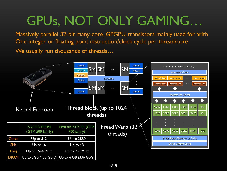### GPUs, NOT ONLY GAMING…

Massively parallel 32-bit many-core, GPGPU, transistors mainly used for arith One integer or floating point instruction/clock cycle per thread/core We usually run thousands of threads...

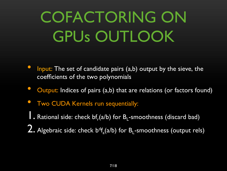# COFACTORING ON GPUs OUTLOOK

- Input: The set of candidate pairs (a,b) output by the sieve, the coefficients of the two polynomials
- Output: Indices of pairs (a,b) that are relations (or factors found)
- **Two CUDA Kernels run sequentially:**

 $\overline{\phantom{a}}$ . Rational side: check bf $_f$ (a/b) for B<sub>L</sub>-smoothness (discard bad)

2. Algebraic side: check  $b^df_a(a/b)$  for  $B_1$ -smoothness (output rels)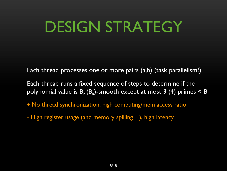### DESIGN STRATEGY

Each thread processes one or more pairs (a,b) (task parallelism!)

Each thread runs a fixed sequence of steps to determine if the polynomial value is  $B_r(B_a)$ -smooth except at most 3 (4) primes  $\leq B_l$ 

- + No thread synchronization, high computing/mem access ratio
- High register usage (and memory spilling…), high latency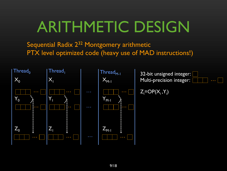### ARITHMETIC DESIGN

Sequential Radix 2<sup>32</sup> Montgomery arithmetic PTX level optimized code (heavy use of MAD instructions!)



32-bit unsigned integer: Multi-precision integer:

```
Z_i = OP(X_i, Y_i)
```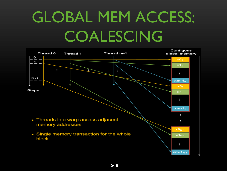# GLOBAL MEM ACCESS: COALESCING

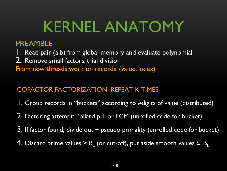### KERNEL ANATOMY

#### PREAMBLE

1. Read pair (a,b) from global memory and evaluate polynomial 2. Remove small factors: trial division From now threads work on records: (value, index)

#### COFACTOR FACTORIZATION: REPEAT K TIMES

- 1. Group records in "buckets" according to #digits of value (distributed)
- 2. Factoring attempt: Pollard p-1 or ECM (unrolled code for bucket)
- 3. If factor found, divide out + pseudo primality (unrolled code for bucket)
- 4. Discard prime values > B<sub>1</sub> (or cut-off), put aside smooth values  $\leq$  B<sub>L</sub>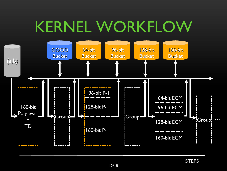### KERNEL WORKFLOW

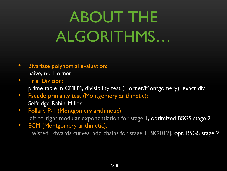# ABOUT THE ALGORITHMS…

- Bivariate polynomial evaluation: naive, no Horner
- Trial Division: prime table in CMEM, divisibility test (Horner/Montgomery), exact div
- Pseudo primality test (Montgomery arithmetic): Selfridge-Rabin-Miller
- Pollard P-1 (Montgomery arithmetic): left-to-right modular exponentiation for stage 1, optimized BSGS stage 2
- ECM (Montgomery arithmetic): Twisted Edwards curves, add chains for stage 1[BK2012], opt. BSGS stage 2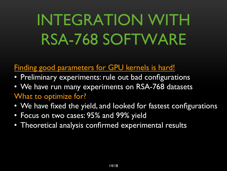# INTEGRATION WITH RSA-768 SOFTWARE

#### Finding good parameters for GPU kernels is hard!

- Preliminary experiments: rule out bad configurations
- We have run many experiments on RSA-768 datasets What to optimize for?
- We have fixed the yield, and looked for fastest configurations
- Focus on two cases: 95% and 99% yield
- Theoretical analysis confirmed experimental results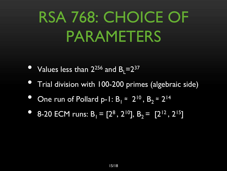# RSA 768: CHOICE OF PARAMETERS

- Values less than  $2^{256}$  and  $B_1 = 2^{37}$
- Trial division with 100-200 primes (algebraic side)
- One run of Pollard p-1:  $B_1 \approx 2^{10}$ ,  $B_2 \approx 2^{14}$
- 8-20 ECM runs:  $B_1 = [2^8, 2^{10}], B_2 = [2^{12}, 2^{15}]$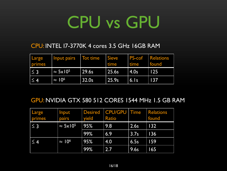# CPU vs GPU

#### CPU: INTEL I7-3770K 4 cores 3.5 GHz 16GB RAM

| Large<br>primes | Input pairs Tot time    |       | <b>Sieve</b><br>time | dime    | <b>PS-cof</b> Relations<br>found |
|-----------------|-------------------------|-------|----------------------|---------|----------------------------------|
| $\vert \leq 3$  | $\approx 5 \times 10^5$ | 29.6s | $\overline{25.6s}$   | 4.0s    | $\overline{125}$                 |
| $\vert \leq 4$  | $\approx 10^6$          | 32.0s | $\vert$ 25.9s        | $ 6.$ s | 137                              |

#### GPU: NVIDIA GTX 580 512 CORES 1544 MHz 1.5 GB RAM

| Large<br>primes | Input<br>pairs          | <b>Desired</b><br>yield | <b>CPU/GPU   Time</b><br><b>Ratio</b> |      | <b>Relations</b><br>found |
|-----------------|-------------------------|-------------------------|---------------------------------------|------|---------------------------|
| $\leq$ 3        | $\approx 5 \times 10^5$ | 95%                     | 9.8                                   | 2.6s | <u> 1321</u>              |
|                 |                         | 99%                     | 6.9                                   | 3.7s | 136                       |
| $\leq$ 4        | $\approx 10^6$          | 95%                     | 4.0                                   | 6.5s | 159                       |
|                 |                         | 99%                     | 2.7                                   | 9.6s | 165                       |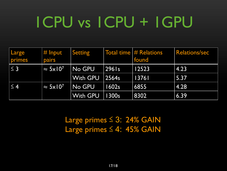# 1CPU vs 1CPU + 1GPU

| Large<br>primes | $\mid \text{\# Input}$<br>pairs | <b>Setting</b>  |               | Total time $#$ Relations<br>found | <b>Relations/sec</b> |
|-----------------|---------------------------------|-----------------|---------------|-----------------------------------|----------------------|
| $\leq$ 3        | $\approx 5 \times 10^7$         | No GPU          | 296 s         | 12523                             | 4.23                 |
|                 |                                 | <b>With GPU</b> | $\vert$ 2564s | 13761                             | 5.37                 |
| $\leq 4$        | $\approx 5 \times 10^{7}$       | No GPU          | 1602s         | 6855                              | $\vert 4.28 \vert$   |
|                 |                                 | <b>With GPU</b> | 1300s         | 8302                              | 6.39                 |

Large primes ≤ 3: 24% GAIN Large primes ≤ 4: 45% GAIN